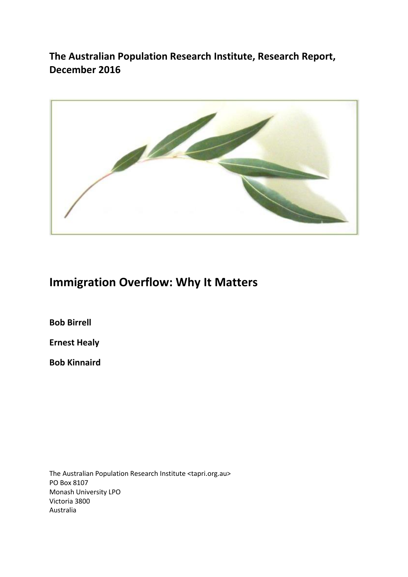**The Australian Population Research Institute, Research Report, December 2016**



# **Immigration Overflow: Why It Matters**

**Bob Birrell**

**Ernest Healy**

**Bob Kinnaird**

The Australian Population Research Institute <tapri.org.au> PO Box 8107 Monash University LPO Victoria 3800 Australia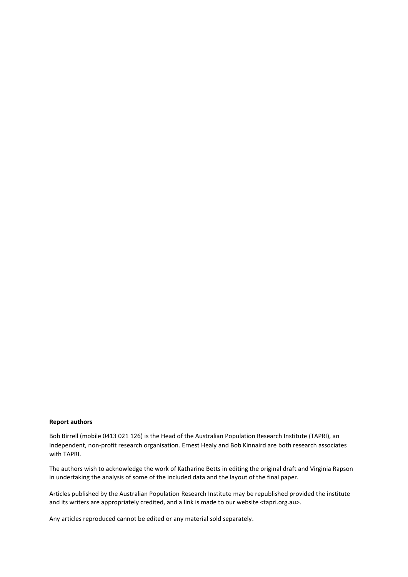#### **Report authors**

Bob Birrell (mobile 0413 021 126) is the Head of the Australian Population Research Institute (TAPRI), an independent, non-profit research organisation. Ernest Healy and Bob Kinnaird are both research associates with TAPRI.

The authors wish to acknowledge the work of Katharine Betts in editing the original draft and Virginia Rapson in undertaking the analysis of some of the included data and the layout of the final paper.

Articles published by the Australian Population Research Institute may be republished provided the institute and its writers are appropriately credited, and a link is made to our website <tapri.org.au>.

Any articles reproduced cannot be edited or any material sold separately.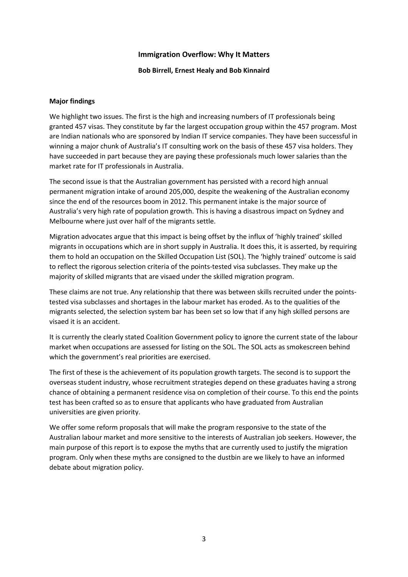#### **Immigration Overflow: Why It Matters**

#### **Bob Birrell, Ernest Healy and Bob Kinnaird**

#### **Major findings**

We highlight two issues. The first is the high and increasing numbers of IT professionals being granted 457 visas. They constitute by far the largest occupation group within the 457 program. Most are Indian nationals who are sponsored by Indian IT service companies. They have been successful in winning a major chunk of Australia's IT consulting work on the basis of these 457 visa holders. They have succeeded in part because they are paying these professionals much lower salaries than the market rate for IT professionals in Australia.

The second issue is that the Australian government has persisted with a record high annual permanent migration intake of around 205,000, despite the weakening of the Australian economy since the end of the resources boom in 2012. This permanent intake is the major source of Australia's very high rate of population growth. This is having a disastrous impact on Sydney and Melbourne where just over half of the migrants settle.

Migration advocates argue that this impact is being offset by the influx of 'highly trained' skilled migrants in occupations which are in short supply in Australia. It does this, it is asserted, by requiring them to hold an occupation on the Skilled Occupation List (SOL). The 'highly trained' outcome is said to reflect the rigorous selection criteria of the points-tested visa subclasses. They make up the majority of skilled migrants that are visaed under the skilled migration program.

These claims are not true. Any relationship that there was between skills recruited under the pointstested visa subclasses and shortages in the labour market has eroded. As to the qualities of the migrants selected, the selection system bar has been set so low that if any high skilled persons are visaed it is an accident.

It is currently the clearly stated Coalition Government policy to ignore the current state of the labour market when occupations are assessed for listing on the SOL. The SOL acts as smokescreen behind which the government's real priorities are exercised.

The first of these is the achievement of its population growth targets. The second is to support the overseas student industry, whose recruitment strategies depend on these graduates having a strong chance of obtaining a permanent residence visa on completion of their course. To this end the points test has been crafted so as to ensure that applicants who have graduated from Australian universities are given priority.

We offer some reform proposals that will make the program responsive to the state of the Australian labour market and more sensitive to the interests of Australian job seekers. However, the main purpose of this report is to expose the myths that are currently used to justify the migration program. Only when these myths are consigned to the dustbin are we likely to have an informed debate about migration policy.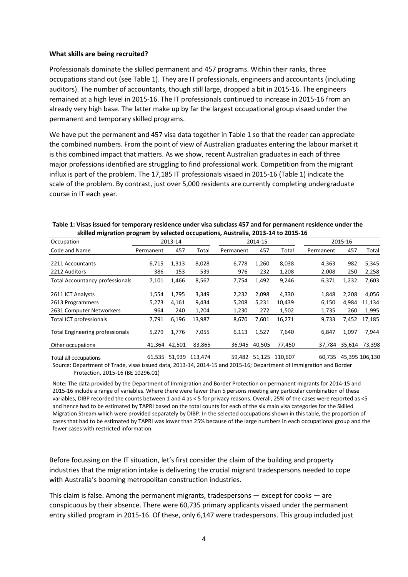#### **What skills are being recruited?**

Professionals dominate the skilled permanent and 457 programs. Within their ranks, three occupations stand out (see Table 1). They are IT professionals, engineers and accountants (including auditors). The number of accountants, though still large, dropped a bit in 2015-16. The engineers remained at a high level in 2015-16. The IT professionals continued to increase in 2015-16 from an already very high base. The latter make up by far the largest occupational group visaed under the permanent and temporary skilled programs.

We have put the permanent and 457 visa data together in Table 1 so that the reader can appreciate the combined numbers. From the point of view of Australian graduates entering the labour market it is this combined impact that matters. As we show, recent Australian graduates in each of three major professions identified are struggling to find professional work. Competition from the migrant influx is part of the problem. The 17,185 IT professionals visaed in 2015-16 (Table 1) indicate the scale of the problem. By contrast, just over 5,000 residents are currently completing undergraduate course in IT each year.

| 3NIIICU IIIIKI AUDII PIUKI AIII PY SCICCLEU UCCUPALIUIIS, AUSLI AIIA, 2015-14 LU 2015-10 |                       |                       |                         |                         |                       |                          |                         |                       |                          |
|------------------------------------------------------------------------------------------|-----------------------|-----------------------|-------------------------|-------------------------|-----------------------|--------------------------|-------------------------|-----------------------|--------------------------|
| Occupation                                                                               |                       | 2013-14               |                         | 2014-15                 |                       | 2015-16                  |                         |                       |                          |
| Code and Name                                                                            | Permanent             | 457                   | Total                   | Permanent               | 457                   | Total                    | Permanent               | 457                   | Total                    |
| 2211 Accountants                                                                         | 6,715                 | 1,313                 | 8,028                   | 6,778                   | 1,260                 | 8,038                    | 4,363                   | 982                   | 5,345                    |
| 2212 Auditors                                                                            | 386                   | 153                   | 539                     | 976                     | 232                   | 1,208                    | 2,008                   | 250                   | 2,258                    |
| <b>Total Accountancy professionals</b>                                                   | 7,101                 | 1,466                 | 8,567                   | 7,754                   | 1,492                 | 9,246                    | 6,371                   | 1,232                 | 7,603                    |
| 2611 ICT Analysts<br>2613 Programmers<br>2631 Computer Networkers                        | 1,554<br>5,273<br>964 | 1,795<br>4,161<br>240 | 3,349<br>9,434<br>1,204 | 2,232<br>5,208<br>1,230 | 2,098<br>5,231<br>272 | 4,330<br>10,439<br>1,502 | 1,848<br>6,150<br>1,735 | 2,208<br>4,984<br>260 | 4,056<br>11,134<br>1,995 |
| Total ICT professionals                                                                  | 7,791                 | 6,196                 | 13,987                  | 8,670                   | 7,601                 | 16,271                   | 9,733                   | 7,452                 | 17,185                   |
| <b>Total Engineering professionals</b>                                                   | 5,279                 | 1,776                 | 7,055                   | 6,113                   | 1,527                 | 7,640                    | 6,847                   | 1,097                 | 7,944                    |
| Other occupations                                                                        |                       | 41,364 42,501         | 83,865                  | 36,945                  | 40,505                | 77,450                   | 37.784                  | 35,614                | 73,398                   |
| Total all occupations                                                                    | 61,535                | 51,939                | 113,474                 | 59,482                  | 51,125                | 110,607                  | 60.735                  |                       | 45,395 106,130           |

| Table 1: Visas issued for temporary residence under visa subclass 457 and for permanent residence under the |
|-------------------------------------------------------------------------------------------------------------|
| skilled migration program by selected occupations, Australia, 2013-14 to 2015-16                            |

Source: Department of Trade, visas issued data, 2013-14, 2014-15 and 2015-16; Department of Immigration and Border Protection, 2015-16 (BE 10296.01)

Note: The data provided by the Department of Immigration and Border Protection on permanent migrants for 2014-15 and 2015-16 include a range of variables. Where there were fewer than 5 persons meeting any particular combination of these variables, DIBP recorded the counts between 1 and 4 as < 5 for privacy reasons. Overall, 25% of the cases were reported as <5 and hence had to be estimated by TAPRI based on the total counts for each of the six main visa categories for the Skilled Migration Stream which were provided separately by DIBP. In the selected occupations shown in this table, the proportion of cases that had to be estimated by TAPRI was lower than 25% because of the large numbers in each occupational group and the fewer cases with restricted information.

Before focussing on the IT situation, let's first consider the claim of the building and property industries that the migration intake is delivering the crucial migrant tradespersons needed to cope with Australia's booming metropolitan construction industries.

This claim is false. Among the permanent migrants, tradespersons  $-$  except for cooks  $-$  are conspicuous by their absence. There were 60,735 primary applicants visaed under the permanent entry skilled program in 2015-16. Of these, only 6,147 were tradespersons. This group included just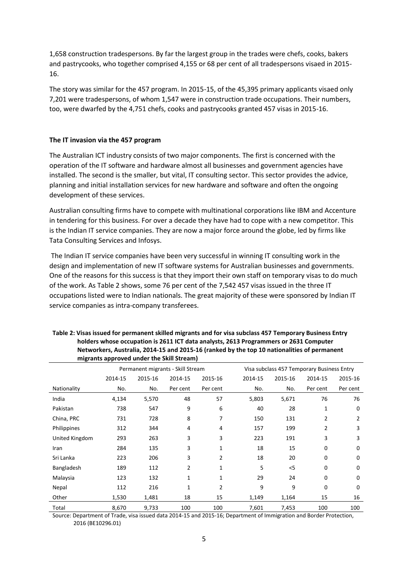1,658 construction tradespersons. By far the largest group in the trades were chefs, cooks, bakers and pastrycooks, who together comprised 4,155 or 68 per cent of all tradespersons visaed in 2015- 16.

The story was similar for the 457 program. In 2015-15, of the 45,395 primary applicants visaed only 7,201 were tradespersons, of whom 1,547 were in construction trade occupations. Their numbers, too, were dwarfed by the 4,751 chefs, cooks and pastrycooks granted 457 visas in 2015-16.

#### **The IT invasion via the 457 program**

The Australian ICT industry consists of two major components. The first is concerned with the operation of the IT software and hardware almost all businesses and government agencies have installed. The second is the smaller, but vital, IT consulting sector. This sector provides the advice, planning and initial installation services for new hardware and software and often the ongoing development of these services.

Australian consulting firms have to compete with multinational corporations like IBM and Accenture in tendering for this business. For over a decade they have had to cope with a new competitor. This is the Indian IT service companies. They are now a major force around the globe, led by firms like Tata Consulting Services and Infosys.

The Indian IT service companies have been very successful in winning IT consulting work in the design and implementation of new IT software systems for Australian businesses and governments. One of the reasons for this success is that they import their own staff on temporary visas to do much of the work. As Table 2 shows, some 76 per cent of the 7,542 457 visas issued in the three IT occupations listed were to Indian nationals. The great majority of these were sponsored by Indian IT service companies as intra-company transferees.

|                | ingrants approved under the skill stream) |                                   |              |                |                                            |         |          |          |  |
|----------------|-------------------------------------------|-----------------------------------|--------------|----------------|--------------------------------------------|---------|----------|----------|--|
|                |                                           | Permanent migrants - Skill Stream |              |                | Visa subclass 457 Temporary Business Entry |         |          |          |  |
|                | 2014-15                                   | 2015-16                           | 2014-15      | 2015-16        | 2014-15                                    | 2015-16 | 2014-15  | 2015-16  |  |
| Nationality    | No.                                       | No.                               | Per cent     | Per cent       | No.                                        | No.     | Per cent | Per cent |  |
| India          | 4,134                                     | 5,570                             | 48           | 57             | 5,803                                      | 5,671   | 76       | 76       |  |
| Pakistan       | 738                                       | 547                               | 9            | 6              | 40                                         | 28      | 1        | 0        |  |
| China, PRC     | 731                                       | 728                               | 8            | 7              | 150                                        | 131     | 2        | 2        |  |
| Philippines    | 312                                       | 344                               | 4            | 4              | 157                                        | 199     | 2        | 3        |  |
| United Kingdom | 293                                       | 263                               | 3            | 3              | 223                                        | 191     | 3        | 3        |  |
| Iran           | 284                                       | 135                               | 3            | 1              | 18                                         | 15      | 0        | 0        |  |
| Sri Lanka      | 223                                       | 206                               | 3            | 2              | 18                                         | 20      | 0        | 0        |  |
| Bangladesh     | 189                                       | 112                               | 2            | 1              | 5                                          | $<$ 5   | 0        | 0        |  |
| Malaysia       | 123                                       | 132                               | $\mathbf{1}$ | $\mathbf 1$    | 29                                         | 24      | 0        | 0        |  |
| Nepal          | 112                                       | 216                               | 1            | $\overline{2}$ | 9                                          | 9       | 0        | 0        |  |
| Other          | 1,530                                     | 1,481                             | 18           | 15             | 1,149                                      | 1,164   | 15       | 16       |  |
| Total          | 8,670                                     | 9,733                             | 100          | 100            | 7,601                                      | 7,453   | 100      | 100      |  |

#### **Table 2: Visas issued for permanent skilled migrants and for visa subclass 457 Temporary Business Entry holders whose occupation is 2611 ICT data analysts, 2613 Programmers or 2631 Computer Networkers, Australia, 2014-15 and 2015-16 (ranked by the top 10 nationalities of permanent migrants approved under the Skill Stream)**

Source: Department of Trade, visa issued data 2014-15 and 2015-16; Department of Immigration and Border Protection, 2016 (BE10296.01)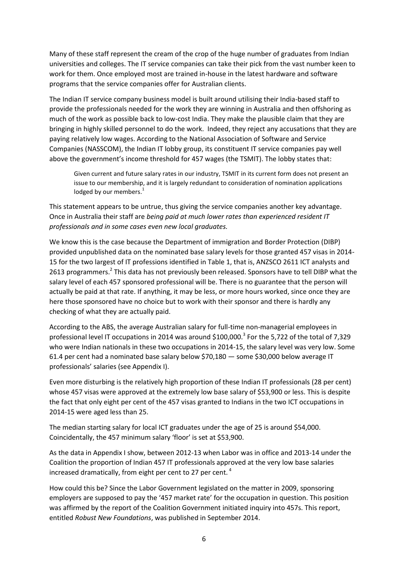Many of these staff represent the cream of the crop of the huge number of graduates from Indian universities and colleges. The IT service companies can take their pick from the vast number keen to work for them. Once employed most are trained in-house in the latest hardware and software programs that the service companies offer for Australian clients.

The Indian IT service company business model is built around utilising their India-based staff to provide the professionals needed for the work they are winning in Australia and then offshoring as much of the work as possible back to low-cost India. They make the plausible claim that they are bringing in highly skilled personnel to do the work. Indeed, they reject any accusations that they are paying relatively low wages. According to the National Association of Software and Service Companies (NASSCOM), the Indian IT lobby group, its constituent IT service companies pay well above the government's income threshold for 457 wages (the TSMIT). The lobby states that:

Given current and future salary rates in our industry, TSMIT in its current form does not present an issue to our membership, and it is largely redundant to consideration of nomination applications lodged by our members.<sup>1</sup>

This statement appears to be untrue, thus giving the service companies another key advantage. Once in Australia their staff are *being paid at much lower rates than experienced resident IT professionals and in some cases even new local graduates.* 

We know this is the case because the Department of immigration and Border Protection (DIBP) provided unpublished data on the nominated base salary levels for those granted 457 visas in 2014- 15 for the two largest of IT professions identified in Table 1, that is, ANZSCO 2611 ICT analysts and 2613 programmers.<sup>2</sup> This data has not previously been released. Sponsors have to tell DIBP what the salary level of each 457 sponsored professional will be. There is no guarantee that the person will actually be paid at that rate. If anything, it may be less, or more hours worked, since once they are here those sponsored have no choice but to work with their sponsor and there is hardly any checking of what they are actually paid.

According to the ABS, the average Australian salary for full-time non-managerial employees in professional level IT occupations in 2014 was around \$100,000.<sup>3</sup> For the 5,722 of the total of 7,329 who were Indian nationals in these two occupations in 2014-15, the salary level was very low. Some 61.4 per cent had a nominated base salary below \$70,180 — some \$30,000 below average IT professionals' salaries (see Appendix I).

Even more disturbing is the relatively high proportion of these Indian IT professionals (28 per cent) whose 457 visas were approved at the extremely low base salary of \$53,900 or less. This is despite the fact that only eight per cent of the 457 visas granted to Indians in the two ICT occupations in 2014-15 were aged less than 25.

The median starting salary for local ICT graduates under the age of 25 is around \$54,000. Coincidentally, the 457 minimum salary 'floor' is set at \$53,900.

As the data in Appendix I show, between 2012-13 when Labor was in office and 2013-14 under the Coalition the proportion of Indian 457 IT professionals approved at the very low base salaries increased dramatically, from eight per cent to 27 per cent. <sup>4</sup>

How could this be? Since the Labor Government legislated on the matter in 2009, sponsoring employers are supposed to pay the '457 market rate' for the occupation in question. This position was affirmed by the report of the Coalition Government initiated inquiry into 457s. This report, entitled *Robust New Foundations*, was published in September 2014.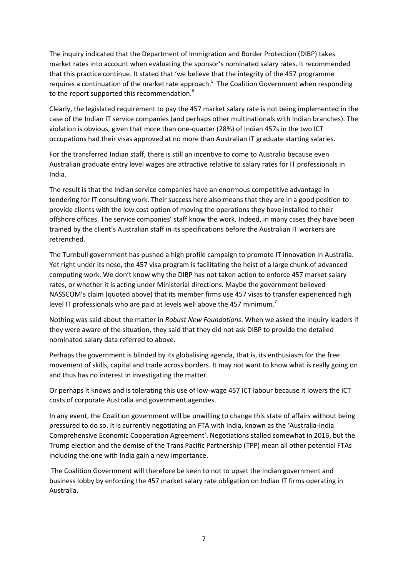The inquiry indicated that the Department of Immigration and Border Protection (DIBP) takes market rates into account when evaluating the sponsor's nominated salary rates. It recommended that this practice continue. It stated that 'we believe that the integrity of the 457 programme requires a continuation of the market rate approach.<sup>5</sup> The Coalition Government when responding to the report supported this recommendation.<sup>6</sup>

Clearly, the legislated requirement to pay the 457 market salary rate is not being implemented in the case of the Indian IT service companies (and perhaps other multinationals with Indian branches). The violation is obvious, given that more than one-quarter (28%) of Indian 457s in the two ICT occupations had their visas approved at no more than Australian IT graduate starting salaries.

For the transferred Indian staff, there is still an incentive to come to Australia because even Australian graduate entry level wages are attractive relative to salary rates for IT professionals in India.

The result is that the Indian service companies have an enormous competitive advantage in tendering for IT consulting work. Their success here also means that they are in a good position to provide clients with the low cost option of moving the operations they have installed to their offshore offices. The service companies' staff know the work. Indeed, in many cases they have been trained by the client's Australian staff in its specifications before the Australian IT workers are retrenched.

The Turnbull government has pushed a high profile campaign to promote IT innovation in Australia. Yet right under its nose, the 457 visa program is facilitating the heist of a large chunk of advanced computing work. We don't know why the DIBP has not taken action to enforce 457 market salary rates, or whether it is acting under Ministerial directions. Maybe the government believed NASSCOM's claim (quoted above) that its member firms use 457 visas to transfer experienced high level IT professionals who are paid at levels well above the 457 minimum.<sup>7</sup>

Nothing was said about the matter in *Robust New Foundations*. When we asked the inquiry leaders if they were aware of the situation, they said that they did not ask DIBP to provide the detailed nominated salary data referred to above.

Perhaps the government is blinded by its globalising agenda, that is, its enthusiasm for the free movement of skills, capital and trade across borders. It may not want to know what is really going on and thus has no interest in investigating the matter.

Or perhaps it knows and is tolerating this use of low-wage 457 ICT labour because it lowers the ICT costs of corporate Australia and government agencies.

In any event, the Coalition government will be unwilling to change this state of affairs without being pressured to do so. It is currently negotiating an FTA with India, known as the 'Australia-India Comprehensive Economic Cooperation Agreement'. Negotiations stalled somewhat in 2016, but the Trump election and the demise of the Trans Pacific Partnership (TPP) mean all other potential FTAs including the one with India gain a new importance.

The Coalition Government will therefore be keen to not to upset the Indian government and business lobby by enforcing the 457 market salary rate obligation on Indian IT firms operating in Australia.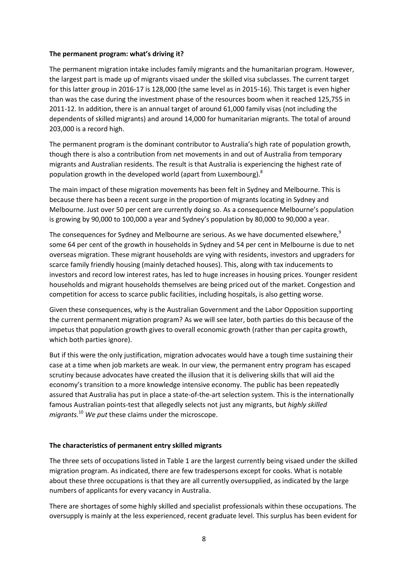#### **The permanent program: what's driving it?**

The permanent migration intake includes family migrants and the humanitarian program. However, the largest part is made up of migrants visaed under the skilled visa subclasses. The current target for this latter group in 2016-17 is 128,000 (the same level as in 2015-16). This target is even higher than was the case during the investment phase of the resources boom when it reached 125,755 in 2011-12. In addition, there is an annual target of around 61,000 family visas (not including the dependents of skilled migrants) and around 14,000 for humanitarian migrants. The total of around 203,000 is a record high.

The permanent program is the dominant contributor to Australia's high rate of population growth, though there is also a contribution from net movements in and out of Australia from temporary migrants and Australian residents. The result is that Australia is experiencing the highest rate of population growth in the developed world (apart from Luxembourg). $^8$ 

The main impact of these migration movements has been felt in Sydney and Melbourne. This is because there has been a recent surge in the proportion of migrants locating in Sydney and Melbourne. Just over 50 per cent are currently doing so. As a consequence Melbourne's population is growing by 90,000 to 100,000 a year and Sydney's population by 80,000 to 90,000 a year.

The consequences for Sydney and Melbourne are serious. As we have documented elsewhere,<sup>9</sup> some 64 per cent of the growth in households in Sydney and 54 per cent in Melbourne is due to net overseas migration. These migrant households are vying with residents, investors and upgraders for scarce family friendly housing (mainly detached houses). This, along with tax inducements to investors and record low interest rates, has led to huge increases in housing prices. Younger resident households and migrant households themselves are being priced out of the market. Congestion and competition for access to scarce public facilities, including hospitals, is also getting worse.

Given these consequences, why is the Australian Government and the Labor Opposition supporting the current permanent migration program? As we will see later, both parties do this because of the impetus that population growth gives to overall economic growth (rather than per capita growth, which both parties ignore).

But if this were the only justification, migration advocates would have a tough time sustaining their case at a time when job markets are weak. In our view, the permanent entry program has escaped scrutiny because advocates have created the illusion that it is delivering skills that will aid the economy's transition to a more knowledge intensive economy. The public has been repeatedly assured that Australia has put in place a state-of-the-art selection system. This is the internationally famous Australian points-test that allegedly selects not just any migrants, but *highly skilled migrants.*<sup>10</sup> *We put* these claims under the microscope.

#### **The characteristics of permanent entry skilled migrants**

The three sets of occupations listed in Table 1 are the largest currently being visaed under the skilled migration program. As indicated, there are few tradespersons except for cooks. What is notable about these three occupations is that they are all currently oversupplied, as indicated by the large numbers of applicants for every vacancy in Australia.

There are shortages of some highly skilled and specialist professionals within these occupations. The oversupply is mainly at the less experienced, recent graduate level. This surplus has been evident for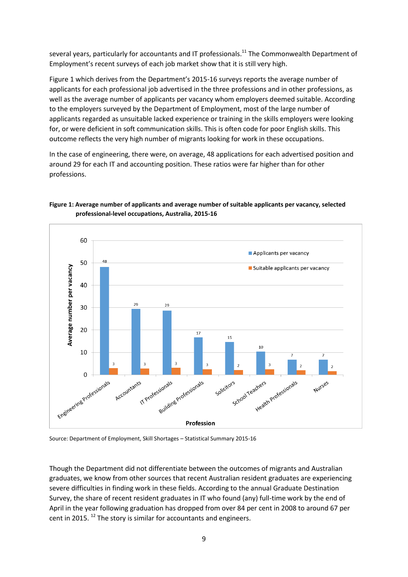several years, particularly for accountants and IT professionals.<sup>11</sup> The Commonwealth Department of Employment's recent surveys of each job market show that it is still very high.

Figure 1 which derives from the Department's 2015-16 surveys reports the average number of applicants for each professional job advertised in the three professions and in other professions, as well as the average number of applicants per vacancy whom employers deemed suitable. According to the employers surveyed by the Department of Employment, most of the large number of applicants regarded as unsuitable lacked experience or training in the skills employers were looking for, or were deficient in soft communication skills. This is often code for poor English skills. This outcome reflects the very high number of migrants looking for work in these occupations.

In the case of engineering, there were, on average, 48 applications for each advertised position and around 29 for each IT and accounting position. These ratios were far higher than for other professions.

#### **Figure 1: Average number of applicants and average number of suitable applicants per vacancy, selected professional-level occupations, Australia, 2015-16**



Source: Department of Employment, Skill Shortages – Statistical Summary 2015-16

Though the Department did not differentiate between the outcomes of migrants and Australian graduates, we know from other sources that recent Australian resident graduates are experiencing severe difficulties in finding work in these fields. According to the annual Graduate Destination Survey, the share of recent resident graduates in IT who found (any) full-time work by the end of April in the year following graduation has dropped from over 84 per cent in 2008 to around 67 per cent in 2015.  $^{12}$  The story is similar for accountants and engineers.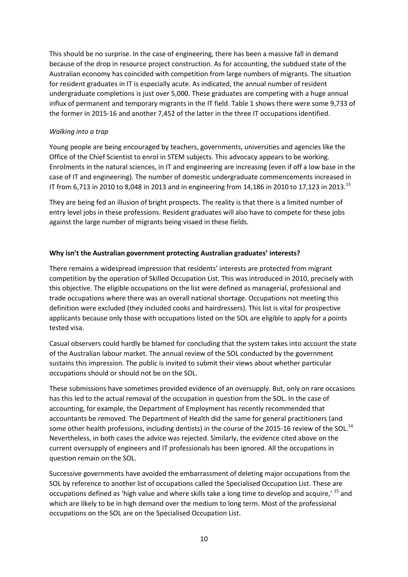This should be no surprise. In the case of engineering, there has been a massive fall in demand because of the drop in resource project construction. As for accounting, the subdued state of the Australian economy has coincided with competition from large numbers of migrants. The situation for resident graduates in IT is especially acute. As indicated, the annual number of resident undergraduate completions is just over 5,000. These graduates are competing with a huge annual influx of permanent and temporary migrants in the IT field. Table 1 shows there were some 9,733 of the former in 2015-16 and another 7,452 of the latter in the three IT occupations identified.

#### *Walking into a trap*

Young people are being encouraged by teachers, governments, universities and agencies like the Office of the Chief Scientist to enrol in STEM subjects. This advocacy appears to be working. Enrolments in the natural sciences, in IT and engineering are increasing (even if off a low base in the case of IT and engineering). The number of domestic undergraduate commencements increased in IT from 6,713 in 2010 to 8,048 in 2013 and in engineering from 14,186 in 2010 to 17,123 in 2013.<sup>13</sup>

They are being fed an illusion of bright prospects. The reality is that there is a limited number of entry level jobs in these professions. Resident graduates will also have to compete for these jobs against the large number of migrants being visaed in these fields.

#### **Why isn't the Australian government protecting Australian graduates' interests?**

There remains a widespread impression that residents' interests are protected from migrant competition by the operation of Skilled Occupation List. This was introduced in 2010, precisely with this objective. The eligible occupations on the list were defined as managerial, professional and trade occupations where there was an overall national shortage. Occupations not meeting this definition were excluded (they included cooks and hairdressers). This list is vital for prospective applicants because only those with occupations listed on the SOL are eligible to apply for a points tested visa.

Casual observers could hardly be blamed for concluding that the system takes into account the state of the Australian labour market. The annual review of the SOL conducted by the government sustains this impression. The public is invited to submit their views about whether particular occupations should or should not be on the SOL.

These submissions have sometimes provided evidence of an oversupply. But, only on rare occasions has this led to the actual removal of the occupation in question from the SOL. In the case of accounting, for example, the Department of Employment has recently recommended that accountants be removed. The Department of Health did the same for general practitioners (and some other health professions, including dentists) in the course of the 2015-16 review of the SOL.<sup>14</sup> Nevertheless, in both cases the advice was rejected. Similarly, the evidence cited above on the current oversupply of engineers and IT professionals has been ignored. All the occupations in question remain on the SOL.

Successive governments have avoided the embarrassment of deleting major occupations from the SOL by reference to another list of occupations called the Specialised Occupation List. These are occupations defined as 'high value and where skills take a long time to develop and acquire,' <sup>15</sup> and which are likely to be in high demand over the medium to long term. Most of the professional occupations on the SOL are on the Specialised Occupation List.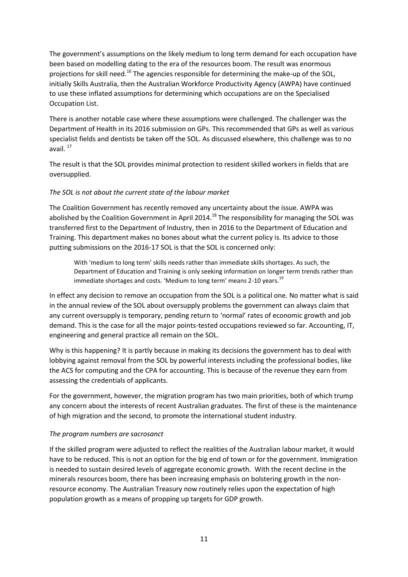The government's assumptions on the likely medium to long term demand for each occupation have been based on modelling dating to the era of the resources boom. The result was enormous projections for skill need.<sup>16</sup> The agencies responsible for determining the make-up of the SOL, initially Skills Australia, then the Australian Workforce Productivity Agency (AWPA) have continued to use these inflated assumptions for determining which occupations are on the Specialised Occupation List.

There is another notable case where these assumptions were challenged. The challenger was the Department of Health in its 2016 submission on GPs. This recommended that GPs as well as various specialist fields and dentists be taken off the SOL. As discussed elsewhere, this challenge was to no avail.<sup>17</sup>

The result is that the SOL provides minimal protection to resident skilled workers in fields that are oversupplied.

#### *The SOL is not about the current state of the labour market*

The Coalition Government has recently removed any uncertainty about the issue. AWPA was abolished by the Coalition Government in April 2014.<sup>18</sup> The responsibility for managing the SOL was transferred first to the Department of Industry, then in 2016 to the Department of Education and Training. This department makes no bones about what the current policy is. Its advice to those putting submissions on the 2016-17 SOL is that the SOL is concerned only:

With 'medium to long term' skills needs rather than immediate skills shortages. As such, the Department of Education and Training is only seeking information on longer term trends rather than immediate shortages and costs. 'Medium to long term' means 2-10 years. $^{19}$ 

In effect any decision to remove an occupation from the SOL is a political one. No matter what is said in the annual review of the SOL about oversupply problems the government can always claim that any current oversupply is temporary, pending return to 'normal' rates of economic growth and job demand. This is the case for all the major points-tested occupations reviewed so far. Accounting, IT, engineering and general practice all remain on the SOL.

Why is this happening? It is partly because in making its decisions the government has to deal with lobbying against removal from the SOL by powerful interests including the professional bodies, like the ACS for computing and the CPA for accounting. This is because of the revenue they earn from assessing the credentials of applicants.

For the government, however, the migration program has two main priorities, both of which trump any concern about the interests of recent Australian graduates. The first of these is the maintenance of high migration and the second, to promote the international student industry.

# *The program numbers are sacrosanct*

If the skilled program were adjusted to reflect the realities of the Australian labour market, it would have to be reduced. This is not an option for the big end of town or for the government. Immigration is needed to sustain desired levels of aggregate economic growth. With the recent decline in the minerals resources boom, there has been increasing emphasis on bolstering growth in the nonresource economy. The Australian Treasury now routinely relies upon the expectation of high population growth as a means of propping up targets for GDP growth.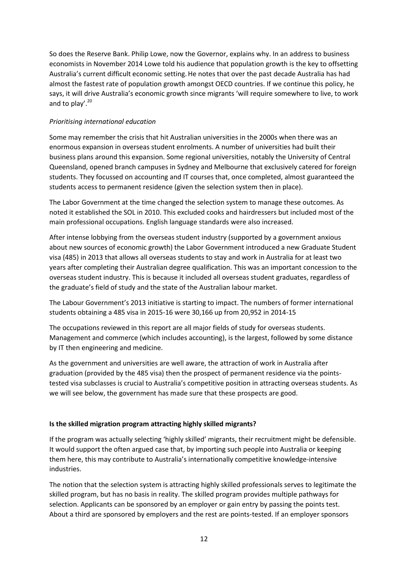So does the Reserve Bank. Philip Lowe, now the Governor, explains why. In an address to business economists in November 2014 Lowe told his audience that population growth is the key to offsetting Australia's current difficult economic setting. He notes that over the past decade Australia has had almost the fastest rate of population growth amongst OECD countries. If we continue this policy, he says, it will drive Australia's economic growth since migrants 'will require somewhere to live, to work and to play'. $20$ 

# *Prioritising international education*

Some may remember the crisis that hit Australian universities in the 2000s when there was an enormous expansion in overseas student enrolments. A number of universities had built their business plans around this expansion. Some regional universities, notably the University of Central Queensland, opened branch campuses in Sydney and Melbourne that exclusively catered for foreign students. They focussed on accounting and IT courses that, once completed, almost guaranteed the students access to permanent residence (given the selection system then in place).

The Labor Government at the time changed the selection system to manage these outcomes. As noted it established the SOL in 2010. This excluded cooks and hairdressers but included most of the main professional occupations. English language standards were also increased.

After intense lobbying from the overseas student industry (supported by a government anxious about new sources of economic growth) the Labor Government introduced a new Graduate Student visa (485) in 2013 that allows all overseas students to stay and work in Australia for at least two years after completing their Australian degree qualification. This was an important concession to the overseas student industry. This is because it included all overseas student graduates, regardless of the graduate's field of study and the state of the Australian labour market.

The Labour Government's 2013 initiative is starting to impact. The numbers of former international students obtaining a 485 visa in 2015-16 were 30,166 up from 20,952 in 2014-15

The occupations reviewed in this report are all major fields of study for overseas students. Management and commerce (which includes accounting), is the largest, followed by some distance by IT then engineering and medicine.

As the government and universities are well aware, the attraction of work in Australia after graduation (provided by the 485 visa) then the prospect of permanent residence via the pointstested visa subclasses is crucial to Australia's competitive position in attracting overseas students. As we will see below, the government has made sure that these prospects are good.

# **Is the skilled migration program attracting highly skilled migrants?**

If the program was actually selecting 'highly skilled' migrants, their recruitment might be defensible. It would support the often argued case that, by importing such people into Australia or keeping them here, this may contribute to Australia's internationally competitive knowledge-intensive industries.

The notion that the selection system is attracting highly skilled professionals serves to legitimate the skilled program, but has no basis in reality. The skilled program provides multiple pathways for selection. Applicants can be sponsored by an employer or gain entry by passing the points test. About a third are sponsored by employers and the rest are points-tested. If an employer sponsors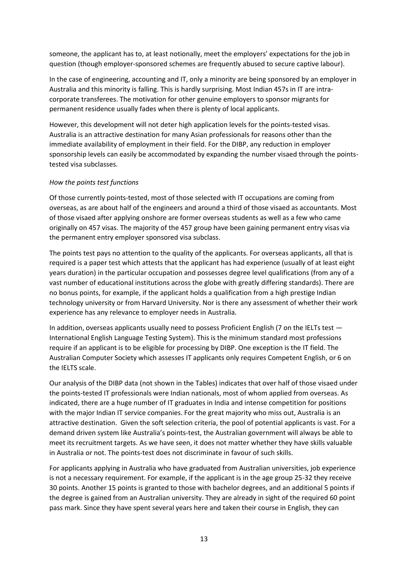someone, the applicant has to, at least notionally, meet the employers' expectations for the job in question (though employer-sponsored schemes are frequently abused to secure captive labour).

In the case of engineering, accounting and IT, only a minority are being sponsored by an employer in Australia and this minority is falling. This is hardly surprising. Most Indian 457s in IT are intracorporate transferees. The motivation for other genuine employers to sponsor migrants for permanent residence usually fades when there is plenty of local applicants.

However, this development will not deter high application levels for the points-tested visas. Australia is an attractive destination for many Asian professionals for reasons other than the immediate availability of employment in their field. For the DIBP, any reduction in employer sponsorship levels can easily be accommodated by expanding the number visaed through the pointstested visa subclasses.

#### *How the points test functions*

Of those currently points-tested, most of those selected with IT occupations are coming from overseas, as are about half of the engineers and around a third of those visaed as accountants. Most of those visaed after applying onshore are former overseas students as well as a few who came originally on 457 visas. The majority of the 457 group have been gaining permanent entry visas via the permanent entry employer sponsored visa subclass.

The points test pays no attention to the quality of the applicants. For overseas applicants, all that is required is a paper test which attests that the applicant has had experience (usually of at least eight years duration) in the particular occupation and possesses degree level qualifications (from any of a vast number of educational institutions across the globe with greatly differing standards). There are no bonus points, for example, if the applicant holds a qualification from a high prestige Indian technology university or from Harvard University. Nor is there any assessment of whether their work experience has any relevance to employer needs in Australia.

In addition, overseas applicants usually need to possess Proficient English (7 on the IELTs test — International English Language Testing System). This is the minimum standard most professions require if an applicant is to be eligible for processing by DIBP. One exception is the IT field. The Australian Computer Society which assesses IT applicants only requires Competent English, or 6 on the IELTS scale.

Our analysis of the DIBP data (not shown in the Tables) indicates that over half of those visaed under the points-tested IT professionals were Indian nationals, most of whom applied from overseas. As indicated, there are a huge number of IT graduates in India and intense competition for positions with the major Indian IT service companies. For the great majority who miss out, Australia is an attractive destination. Given the soft selection criteria, the pool of potential applicants is vast. For a demand driven system like Australia's points-test, the Australian government will always be able to meet its recruitment targets. As we have seen, it does not matter whether they have skills valuable in Australia or not. The points-test does not discriminate in favour of such skills.

For applicants applying in Australia who have graduated from Australian universities, job experience is not a necessary requirement. For example, if the applicant is in the age group 25-32 they receive 30 points. Another 15 points is granted to those with bachelor degrees, and an additional 5 points if the degree is gained from an Australian university. They are already in sight of the required 60 point pass mark. Since they have spent several years here and taken their course in English, they can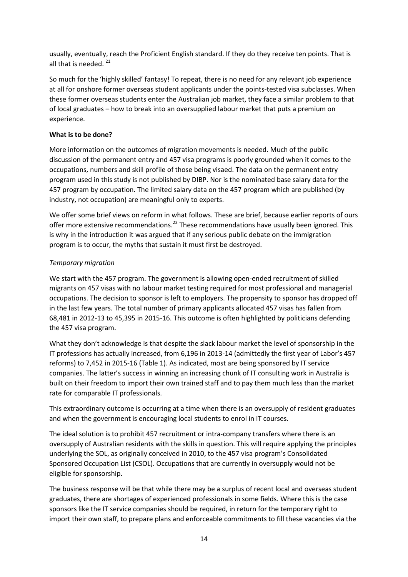usually, eventually, reach the Proficient English standard. If they do they receive ten points. That is all that is needed.<sup>21</sup>

So much for the 'highly skilled' fantasy! To repeat, there is no need for any relevant job experience at all for onshore former overseas student applicants under the points-tested visa subclasses. When these former overseas students enter the Australian job market, they face a similar problem to that of local graduates – how to break into an oversupplied labour market that puts a premium on experience.

#### **What is to be done?**

More information on the outcomes of migration movements is needed. Much of the public discussion of the permanent entry and 457 visa programs is poorly grounded when it comes to the occupations, numbers and skill profile of those being visaed. The data on the permanent entry program used in this study is not published by DIBP. Nor is the nominated base salary data for the 457 program by occupation. The limited salary data on the 457 program which are published (by industry, not occupation) are meaningful only to experts.

We offer some brief views on reform in what follows. These are brief, because earlier reports of ours offer more extensive recommendations.<sup>22</sup> These recommendations have usually been ignored. This is why in the introduction it was argued that if any serious public debate on the immigration program is to occur, the myths that sustain it must first be destroyed.

#### *Temporary migration*

We start with the 457 program. The government is allowing open-ended recruitment of skilled migrants on 457 visas with no labour market testing required for most professional and managerial occupations. The decision to sponsor is left to employers. The propensity to sponsor has dropped off in the last few years. The total number of primary applicants allocated 457 visas has fallen from 68,481 in 2012-13 to 45,395 in 2015-16. This outcome is often highlighted by politicians defending the 457 visa program.

What they don't acknowledge is that despite the slack labour market the level of sponsorship in the IT professions has actually increased, from 6,196 in 2013-14 (admittedly the first year of Labor's 457 reforms) to 7,452 in 2015-16 (Table 1). As indicated, most are being sponsored by IT service companies. The latter's success in winning an increasing chunk of IT consulting work in Australia is built on their freedom to import their own trained staff and to pay them much less than the market rate for comparable IT professionals.

This extraordinary outcome is occurring at a time when there is an oversupply of resident graduates and when the government is encouraging local students to enrol in IT courses.

The ideal solution is to prohibit 457 recruitment or intra-company transfers where there is an oversupply of Australian residents with the skills in question. This will require applying the principles underlying the SOL, as originally conceived in 2010, to the 457 visa program's Consolidated Sponsored Occupation List (CSOL). Occupations that are currently in oversupply would not be eligible for sponsorship.

The business response will be that while there may be a surplus of recent local and overseas student graduates, there are shortages of experienced professionals in some fields. Where this is the case sponsors like the IT service companies should be required, in return for the temporary right to import their own staff, to prepare plans and enforceable commitments to fill these vacancies via the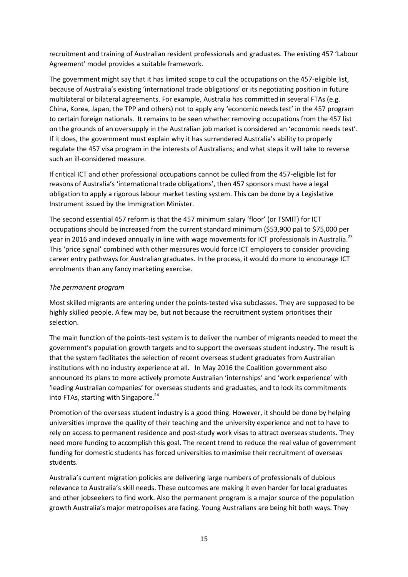recruitment and training of Australian resident professionals and graduates. The existing 457 'Labour Agreement' model provides a suitable framework.

The government might say that it has limited scope to cull the occupations on the 457-eligible list, because of Australia's existing 'international trade obligations' or its negotiating position in future multilateral or bilateral agreements. For example, Australia has committed in several FTAs (e.g. China, Korea, Japan, the TPP and others) not to apply any 'economic needs test' in the 457 program to certain foreign nationals. It remains to be seen whether removing occupations from the 457 list on the grounds of an oversupply in the Australian job market is considered an 'economic needs test'. If it does, the government must explain why it has surrendered Australia's ability to properly regulate the 457 visa program in the interests of Australians; and what steps it will take to reverse such an ill-considered measure.

If critical ICT and other professional occupations cannot be culled from the 457-eligible list for reasons of Australia's 'international trade obligations', then 457 sponsors must have a legal obligation to apply a rigorous labour market testing system. This can be done by a Legislative Instrument issued by the Immigration Minister.

The second essential 457 reform is that the 457 minimum salary 'floor' (or TSMIT) for ICT occupations should be increased from the current standard minimum (\$53,900 pa) to \$75,000 per year in 2016 and indexed annually in line with wage movements for ICT professionals in Australia.<sup>23</sup> This 'price signal' combined with other measures would force ICT employers to consider providing career entry pathways for Australian graduates. In the process, it would do more to encourage ICT enrolments than any fancy marketing exercise.

# *The permanent program*

Most skilled migrants are entering under the points-tested visa subclasses. They are supposed to be highly skilled people. A few may be, but not because the recruitment system prioritises their selection.

The main function of the points-test system is to deliver the number of migrants needed to meet the government's population growth targets and to support the overseas student industry. The result is that the system facilitates the selection of recent overseas student graduates from Australian institutions with no industry experience at all. In May 2016 the Coalition government also announced its plans to more actively promote Australian 'internships' and 'work experience' with 'leading Australian companies' for overseas students and graduates, and to lock its commitments into FTAs, starting with Singapore.<sup>24</sup>

Promotion of the overseas student industry is a good thing. However, it should be done by helping universities improve the quality of their teaching and the university experience and not to have to rely on access to permanent residence and post-study work visas to attract overseas students. They need more funding to accomplish this goal. The recent trend to reduce the real value of government funding for domestic students has forced universities to maximise their recruitment of overseas students.

Australia's current migration policies are delivering large numbers of professionals of dubious relevance to Australia's skill needs. These outcomes are making it even harder for local graduates and other jobseekers to find work. Also the permanent program is a major source of the population growth Australia's major metropolises are facing. Young Australians are being hit both ways. They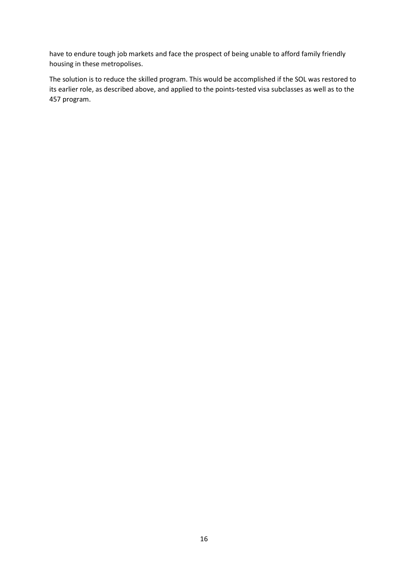have to endure tough job markets and face the prospect of being unable to afford family friendly housing in these metropolises.

The solution is to reduce the skilled program. This would be accomplished if the SOL was restored to its earlier role, as described above, and applied to the points-tested visa subclasses as well as to the 457 program.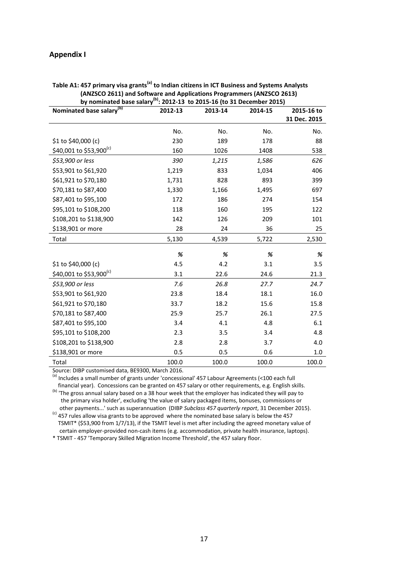#### **Appendix I**

| by nominated base salary <sup>(b)</sup> : 2012-13 to 2015-16 (to 31 December 2015) |         |         |         |              |  |  |  |
|------------------------------------------------------------------------------------|---------|---------|---------|--------------|--|--|--|
| Nominated base salary <sup>(b)</sup>                                               | 2012-13 | 2013-14 | 2014-15 | 2015-16 to   |  |  |  |
|                                                                                    |         |         |         | 31 Dec. 2015 |  |  |  |
|                                                                                    | No.     | No.     | No.     | No.          |  |  |  |
| \$1 to \$40,000 (c)                                                                | 230     | 189     | 178     | 88           |  |  |  |
| \$40,001 to \$53,900 <sup>(c)</sup>                                                | 160     | 1026    | 1408    | 538          |  |  |  |
| \$53,900 or less                                                                   | 390     | 1,215   | 1,586   | 626          |  |  |  |
| \$53,901 to \$61,920                                                               | 1,219   | 833     | 1,034   | 406          |  |  |  |
| \$61,921 to \$70,180                                                               | 1,731   | 828     | 893     | 399          |  |  |  |
| \$70,181 to \$87,400                                                               | 1,330   | 1,166   | 1,495   | 697          |  |  |  |
| \$87,401 to \$95,100                                                               | 172     | 186     | 274     | 154          |  |  |  |
| \$95,101 to \$108,200                                                              | 118     | 160     | 195     | 122          |  |  |  |
| \$108,201 to \$138,900                                                             | 142     | 126     | 209     | 101          |  |  |  |
| \$138,901 or more                                                                  | 28      | 24      | 36      | 25           |  |  |  |
| Total                                                                              | 5,130   | 4,539   | 5,722   | 2,530        |  |  |  |
|                                                                                    |         |         |         |              |  |  |  |
|                                                                                    | %       | %       | %       | %            |  |  |  |
| \$1 to \$40,000 (c)                                                                | 4.5     | 4.2     | 3.1     | 3.5          |  |  |  |
| \$40,001 to \$53,900 <sup>(c)</sup>                                                | 3.1     | 22.6    | 24.6    | 21.3         |  |  |  |
| \$53,900 or less                                                                   | 7.6     | 26.8    | 27.7    | 24.7         |  |  |  |
| \$53,901 to \$61,920                                                               | 23.8    | 18.4    | 18.1    | 16.0         |  |  |  |
| \$61,921 to \$70,180                                                               | 33.7    | 18.2    | 15.6    | 15.8         |  |  |  |
| \$70,181 to \$87,400                                                               | 25.9    | 25.7    | 26.1    | 27.5         |  |  |  |
| \$87,401 to \$95,100                                                               | 3.4     | 4.1     | 4.8     | 6.1          |  |  |  |
| \$95,101 to \$108,200                                                              | 2.3     | 3.5     | 3.4     | 4.8          |  |  |  |
| \$108,201 to \$138,900                                                             | 2.8     | 2.8     | 3.7     | 4.0          |  |  |  |
| \$138,901 or more                                                                  | 0.5     | 0.5     | 0.6     | 1.0          |  |  |  |
| Total                                                                              | 100.0   | 100.0   | 100.0   | 100.0        |  |  |  |

# **Table A1: 457 primary visa grants(a) to Indian citizens in ICT Business and Systems Analysts (ANZSCO 2611) and Software and Applications Programmers (ANZSCO 2613)**

Source: DIBP customised data, BE9300, March 2016.

(a) Includes a small number of grants under 'concessional' 457 Labour Agreements (<100 each full financial year). Concessions can be granted on 457 salary or other requirements, e.g. English skills. (b) The gross annual salary based on a 38 hour week that the employer has indicated they will pay to the primary visa holder', excluding 'the value of salary packaged items, bonuses, commissions or

 other payments...' such as superannuation (DIBP *Subclass 457 quarterly report*, 31 December 2015). (c) 457 rules allow visa grants to be approved where the nominated base salary is below the 457 TSMIT\* (\$53,900 from 1/7/13), if the TSMIT level is met after including the agreed monetary value of certain employer-provided non-cash items (e.g. accommodation, private health insurance, laptops).

\* TSMIT - 457 'Temporary Skilled Migration Income Threshold', the 457 salary floor.